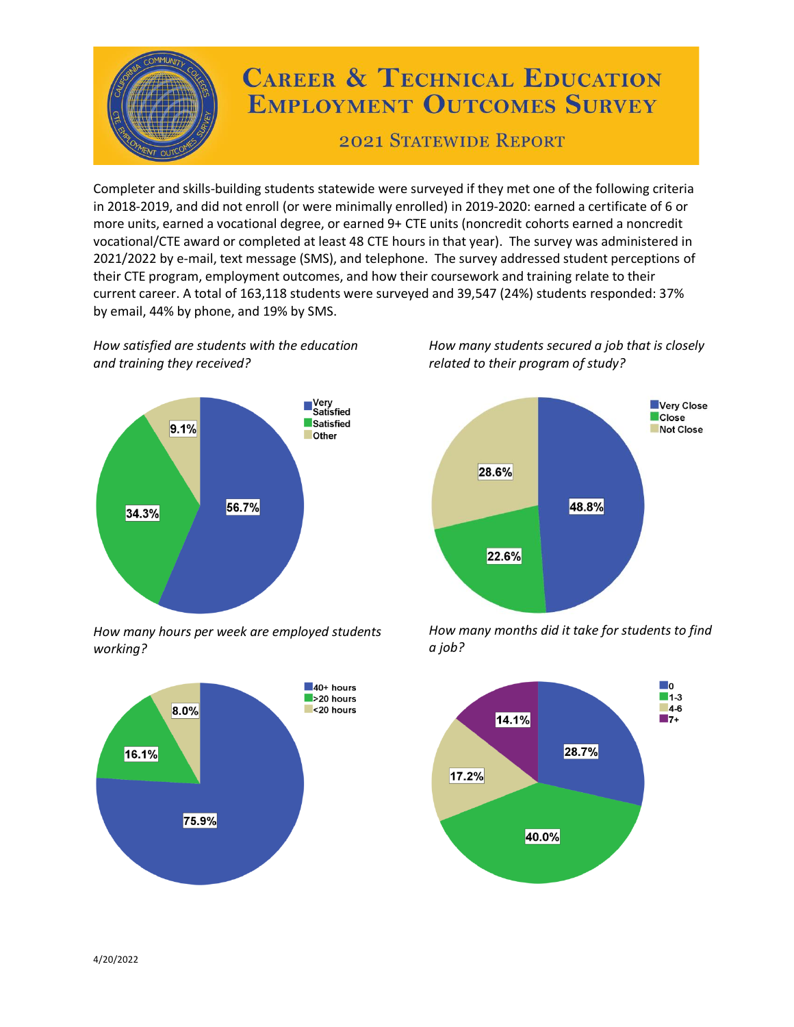

## **CAREER & TECHNICAL EDUCATION EMPLOYMENT OUTCOMES SURVEY**

**2021 STATEWIDE REPORT** 

Completer and skills-building students statewide were surveyed if they met one of the following criteria in 2018-2019, and did not enroll (or were minimally enrolled) in 2019-2020: earned a certificate of 6 or more units, earned a vocational degree, or earned 9+ CTE units (noncredit cohorts earned a noncredit vocational/CTE award or completed at least 48 CTE hours in that year). The survey was administered in 2021/2022 by e-mail, text message (SMS), and telephone. The survey addressed student perceptions of their CTE program, employment outcomes, and how their coursework and training relate to their current career. A total of 163,118 students were surveyed and 39,547 (24%) students responded: 37% by email, 44% by phone, and 19% by SMS.

*How satisfied are students with the education and training they received?*



*How many hours per week are employed students working?*



*How many students secured a job that is closely related to their program of study?*



*How many months did it take for students to find a job?*